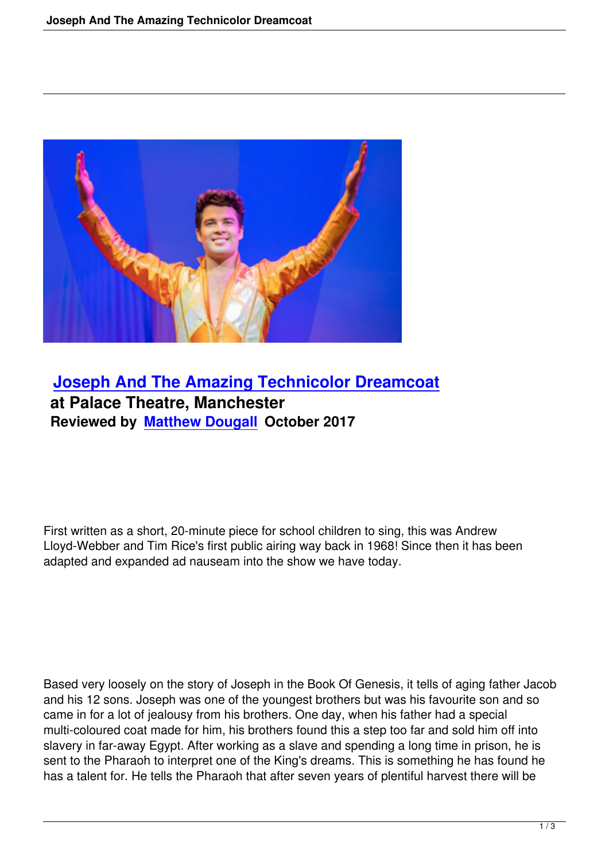

## **Joseph And The Amazing Technicolor Dreamcoat at Palace Theatre, Manchester [Reviewed by Matthew Dougall October 2017](joseph-amazing-technicolor-dreamcoat.html)**

First written as a short, 20-minute piece for school children to sing, this was Andrew Lloyd-Webber and Tim Rice's first public airing way back in 1968! Since then it has been adapted and expanded ad nauseam into the show we have today.

Based very loosely on the story of Joseph in the Book Of Genesis, it tells of aging father Jacob and his 12 sons. Joseph was one of the youngest brothers but was his favourite son and so came in for a lot of jealousy from his brothers. One day, when his father had a special multi-coloured coat made for him, his brothers found this a step too far and sold him off into slavery in far-away Egypt. After working as a slave and spending a long time in prison, he is sent to the Pharaoh to interpret one of the King's dreams. This is something he has found he has a talent for. He tells the Pharaoh that after seven years of plentiful harvest there will be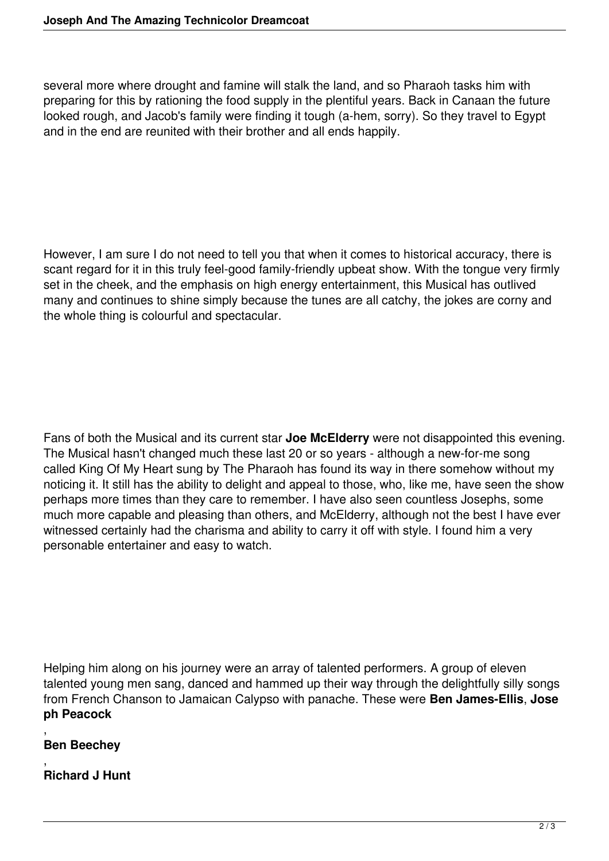several more where drought and famine will stalk the land, and so Pharaoh tasks him with preparing for this by rationing the food supply in the plentiful years. Back in Canaan the future looked rough, and Jacob's family were finding it tough (a-hem, sorry). So they travel to Egypt and in the end are reunited with their brother and all ends happily.

However, I am sure I do not need to tell you that when it comes to historical accuracy, there is scant regard for it in this truly feel-good family-friendly upbeat show. With the tongue very firmly set in the cheek, and the emphasis on high energy entertainment, this Musical has outlived many and continues to shine simply because the tunes are all catchy, the jokes are corny and the whole thing is colourful and spectacular.

Fans of both the Musical and its current star **Joe McElderry** were not disappointed this evening. The Musical hasn't changed much these last 20 or so years - although a new-for-me song called King Of My Heart sung by The Pharaoh has found its way in there somehow without my noticing it. It still has the ability to delight and appeal to those, who, like me, have seen the show perhaps more times than they care to remember. I have also seen countless Josephs, some much more capable and pleasing than others, and McElderry, although not the best I have ever witnessed certainly had the charisma and ability to carry it off with style. I found him a very personable entertainer and easy to watch.

Helping him along on his journey were an array of talented performers. A group of eleven talented young men sang, danced and hammed up their way through the delightfully silly songs from French Chanson to Jamaican Calypso with panache. These were **Ben James-Ellis**, **Jose ph Peacock**

, **Ben Beechey**

, **Richard J Hunt**